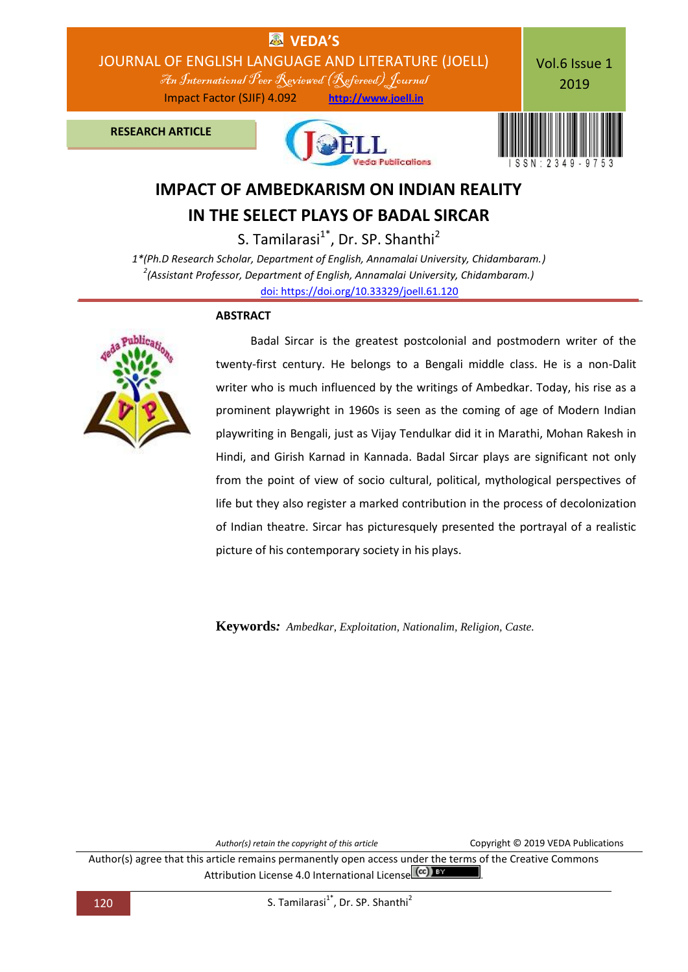

# **IMPACT OF AMBEDKARISM ON INDIAN REALITY IN THE SELECT PLAYS OF BADAL SIRCAR**

S. Tamilarasi $1^*$ , Dr. SP. Shanthi<sup>2</sup>

*1\*(Ph.D Research Scholar, Department of English, Annamalai University, Chidambaram.) 2 (Assistant Professor, Department of English, Annamalai University, Chidambaram.)* [doi: https://doi.org/10.33329/joell.61.120](http://joell.in/vol-6-issue-1-2019/)

#### **ABSTRACT**



 Badal Sircar is the greatest postcolonial and postmodern writer of the twenty-first century. He belongs to a Bengali middle class. He is a non-Dalit writer who is much influenced by the writings of Ambedkar. Today, his rise as a prominent playwright in 1960s is seen as the coming of age of Modern Indian playwriting in Bengali, just as Vijay Tendulkar did it in Marathi, Mohan Rakesh in Hindi, and Girish Karnad in Kannada. Badal Sircar plays are significant not only from the point of view of socio cultural, political, mythological perspectives of life but they also register a marked contribution in the process of decolonization of Indian theatre. Sircar has picturesquely presented the portrayal of a realistic picture of his contemporary society in his plays.

**Keywords***: Ambedkar, Exploitation, Nationalim, Religion, Caste.*

*Author(s) retain the copyright of this article* Copyright © 2019 VEDA Publications

Author(s) agree that this article remains permanently open access under the terms of the Creative Commons Attribution License 4.0 International License (cc) BY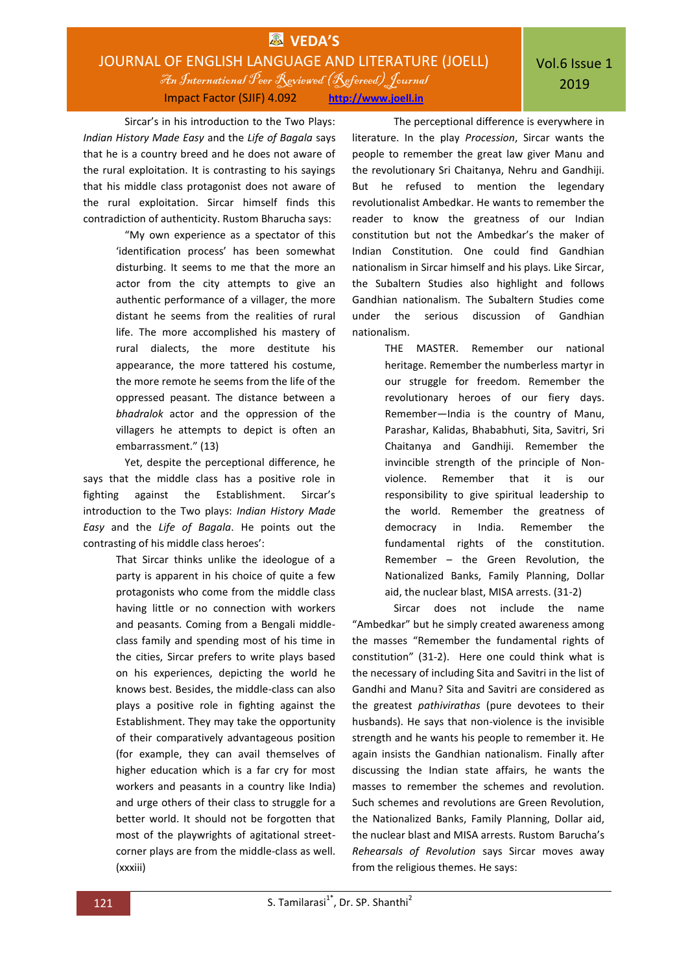## **VEDA'S** JOURNAL OF ENGLISH LANGUAGE AND LITERATURE (JOELL) An International Peer Reviewed (Refereed)Journal

Impact Factor (SJIF) 4.092 **http://www.joell.in**

Sircar's in his introduction to the Two Plays: *Indian History Made Easy* and the *Life of Bagala* says that he is a country breed and he does not aware of the rural exploitation. It is contrasting to his sayings that his middle class protagonist does not aware of the rural exploitation. Sircar himself finds this contradiction of authenticity. Rustom Bharucha says:

> "My own experience as a spectator of this 'identification process' has been somewhat disturbing. It seems to me that the more an actor from the city attempts to give an authentic performance of a villager, the more distant he seems from the realities of rural life. The more accomplished his mastery of rural dialects, the more destitute his appearance, the more tattered his costume, the more remote he seems from the life of the oppressed peasant. The distance between a *bhadralok* actor and the oppression of the villagers he attempts to depict is often an embarrassment." (13)

Yet, despite the perceptional difference, he says that the middle class has a positive role in fighting against the Establishment. Sircar's introduction to the Two plays: *Indian History Made Easy* and the *Life of Bagala*. He points out the contrasting of his middle class heroes':

> That Sircar thinks unlike the ideologue of a party is apparent in his choice of quite a few protagonists who come from the middle class having little or no connection with workers and peasants. Coming from a Bengali middleclass family and spending most of his time in the cities, Sircar prefers to write plays based on his experiences, depicting the world he knows best. Besides, the middle-class can also plays a positive role in fighting against the Establishment. They may take the opportunity of their comparatively advantageous position (for example, they can avail themselves of higher education which is a far cry for most workers and peasants in a country like India) and urge others of their class to struggle for a better world. It should not be forgotten that most of the playwrights of agitational streetcorner plays are from the middle-class as well. (xxxiii)

The perceptional difference is everywhere in literature. In the play *Procession*, Sircar wants the people to remember the great law giver Manu and the revolutionary Sri Chaitanya, Nehru and Gandhiji. But he refused to mention the legendary revolutionalist Ambedkar. He wants to remember the reader to know the greatness of our Indian constitution but not the Ambedkar's the maker of Indian Constitution. One could find Gandhian nationalism in Sircar himself and his plays. Like Sircar, the Subaltern Studies also highlight and follows Gandhian nationalism. The Subaltern Studies come under the serious discussion of Gandhian nationalism.

> THE MASTER. Remember our national heritage. Remember the numberless martyr in our struggle for freedom. Remember the revolutionary heroes of our fiery days. Remember—India is the country of Manu, Parashar, Kalidas, Bhababhuti, Sita, Savitri, Sri Chaitanya and Gandhiji. Remember the invincible strength of the principle of Nonviolence. Remember that it is our responsibility to give spiritual leadership to the world. Remember the greatness of democracy in India. Remember the fundamental rights of the constitution. Remember – the Green Revolution, the Nationalized Banks, Family Planning, Dollar aid, the nuclear blast, MISA arrests. (31-2)

Sircar does not include the name "Ambedkar" but he simply created awareness among the masses "Remember the fundamental rights of constitution" (31-2). Here one could think what is the necessary of including Sita and Savitri in the list of Gandhi and Manu? Sita and Savitri are considered as the greatest *pathivirathas* (pure devotees to their husbands). He says that non-violence is the invisible strength and he wants his people to remember it. He again insists the Gandhian nationalism. Finally after discussing the Indian state affairs, he wants the masses to remember the schemes and revolution. Such schemes and revolutions are Green Revolution, the Nationalized Banks, Family Planning, Dollar aid, the nuclear blast and MISA arrests. Rustom Barucha's *Rehearsals of Revolution* says Sircar moves away from the religious themes. He says: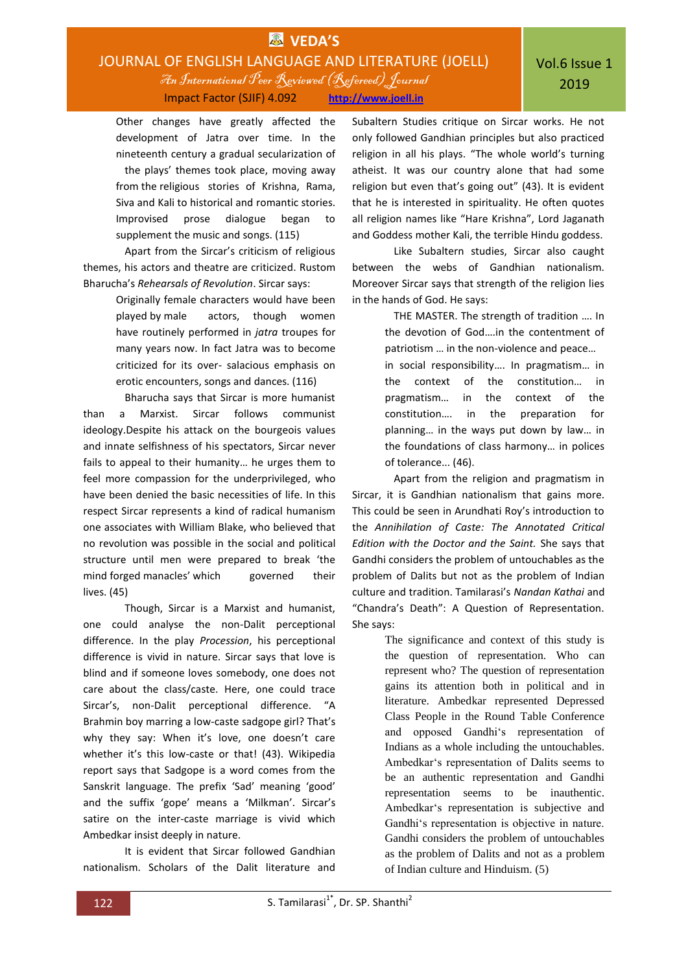### **EX** VEDA'S JOURNAL OF ENGLISH LANGUAGE AND LITERATURE (JOELL) An International Peer Reviewed (Refereed)Journal Impact Factor (SJIF) 4.092 **http://www.joell.in**

Other changes have greatly affected the development of Jatra over time. In the nineteenth century a gradual secularization of the plays' themes took place, moving away from the religious stories of Krishna, Rama, Siva and Kali to historical and romantic stories. Improvised prose dialogue began to supplement the music and songs. (115)

Apart from the Sircar's criticism of religious themes, his actors and theatre are criticized. Rustom Bharucha's *Rehearsals of Revolution*. Sircar says:

> Originally female characters would have been played by male actors, though women have routinely performed in *jatra* troupes for many years now. In fact Jatra was to become criticized for its over- salacious emphasis on erotic encounters, songs and dances. (116)

Bharucha says that Sircar is more humanist than a Marxist. Sircar follows communist ideology.Despite his attack on the bourgeois values and innate selfishness of his spectators, Sircar never fails to appeal to their humanity… he urges them to feel more compassion for the underprivileged, who have been denied the basic necessities of life. In this respect Sircar represents a kind of radical humanism one associates with William Blake, who believed that no revolution was possible in the social and political structure until men were prepared to break 'the mind forged manacles' which governed their lives. (45)

Though, Sircar is a Marxist and humanist, one could analyse the non-Dalit perceptional difference. In the play *Procession*, his perceptional difference is vivid in nature. Sircar says that love is blind and if someone loves somebody, one does not care about the class/caste. Here, one could trace Sircar's, non-Dalit perceptional difference. "A Brahmin boy marring a low-caste sadgope girl? That's why they say: When it's love, one doesn't care whether it's this low-caste or that! (43). Wikipedia report says that Sadgope is a word comes from the Sanskrit language. The prefix 'Sad' meaning 'good' and the suffix 'gope' means a 'Milkman'. Sircar's satire on the inter-caste marriage is vivid which Ambedkar insist deeply in nature.

It is evident that Sircar followed Gandhian nationalism. Scholars of the Dalit literature and Subaltern Studies critique on Sircar works. He not only followed Gandhian principles but also practiced religion in all his plays. "The whole world's turning atheist. It was our country alone that had some religion but even that's going out" (43). It is evident that he is interested in spirituality. He often quotes all religion names like "Hare Krishna", Lord Jaganath and Goddess mother Kali, the terrible Hindu goddess.

Like Subaltern studies, Sircar also caught between the webs of Gandhian nationalism. Moreover Sircar says that strength of the religion lies in the hands of God. He says:

> THE MASTER. The strength of tradition …. In the devotion of God….in the contentment of patriotism … in the non-violence and peace… in social responsibility…. In pragmatism… in the context of the constitution… in pragmatism… in the context of the constitution…. in the preparation for planning… in the ways put down by law… in the foundations of class harmony… in polices of tolerance... (46).

Apart from the religion and pragmatism in Sircar, it is Gandhian nationalism that gains more. This could be seen in Arundhati Roy's introduction to the *Annihilation of Caste: The Annotated Critical Edition with the Doctor and the Saint.* She says that Gandhi considers the problem of untouchables as the problem of Dalits but not as the problem of Indian culture and tradition. Tamilarasi's *Nandan Kathai* and "Chandra's Death": A Question of Representation. She says:

> The significance and context of this study is the question of representation. Who can represent who? The question of representation gains its attention both in political and in literature. Ambedkar represented Depressed Class People in the Round Table Conference and opposed Gandhi's representation of Indians as a whole including the untouchables. Ambedkar's representation of Dalits seems to be an authentic representation and Gandhi representation seems to be inauthentic. Ambedkar's representation is subjective and Gandhi's representation is objective in nature. Gandhi considers the problem of untouchables as the problem of Dalits and not as a problem of Indian culture and Hinduism. (5)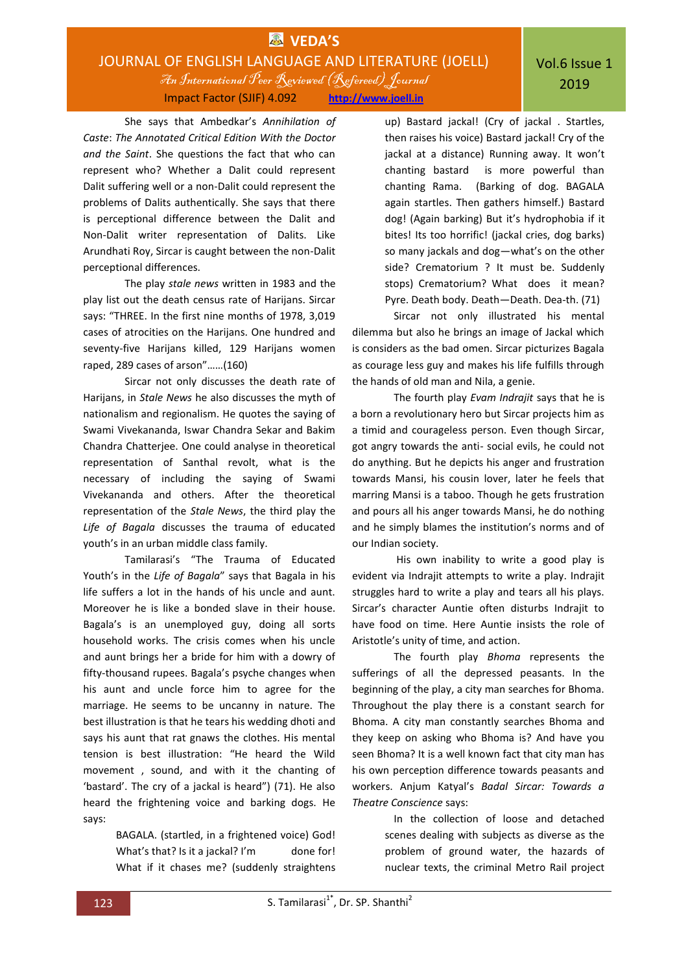### **EX** VEDA'S JOURNAL OF ENGLISH LANGUAGE AND LITERATURE (JOELL) An International Peer Reviewed (Refereed)Journal Impact Factor (SJIF) 4.092 **http://www.joell.in**

She says that Ambedkar's *Annihilation of Caste*: *The Annotated Critical Edition With the Doctor and the Saint*. She questions the fact that who can represent who? Whether a Dalit could represent Dalit suffering well or a non-Dalit could represent the problems of Dalits authentically. She says that there is perceptional difference between the Dalit and Non-Dalit writer representation of Dalits. Like Arundhati Roy, Sircar is caught between the non-Dalit perceptional differences.

The play *stale news* written in 1983 and the play list out the death census rate of Harijans. Sircar says: "THREE. In the first nine months of 1978, 3,019 cases of atrocities on the Harijans. One hundred and seventy-five Harijans killed, 129 Harijans women raped, 289 cases of arson"……(160)

Sircar not only discusses the death rate of Harijans, in *Stale News* he also discusses the myth of nationalism and regionalism. He quotes the saying of Swami Vivekananda, Iswar Chandra Sekar and Bakim Chandra Chatterjee. One could analyse in theoretical representation of Santhal revolt, what is the necessary of including the saying of Swami Vivekananda and others. After the theoretical representation of the *Stale News*, the third play the *Life of Bagala* discusses the trauma of educated youth's in an urban middle class family.

Tamilarasi's "The Trauma of Educated Youth's in the *Life of Bagala*" says that Bagala in his life suffers a lot in the hands of his uncle and aunt. Moreover he is like a bonded slave in their house. Bagala's is an unemployed guy, doing all sorts household works. The crisis comes when his uncle and aunt brings her a bride for him with a dowry of fifty-thousand rupees. Bagala's psyche changes when his aunt and uncle force him to agree for the marriage. He seems to be uncanny in nature. The best illustration is that he tears his wedding dhoti and says his aunt that rat gnaws the clothes. His mental tension is best illustration: "He heard the Wild movement , sound, and with it the chanting of 'bastard'. The cry of a jackal is heard") (71). He also heard the frightening voice and barking dogs. He says:

> BAGALA. (startled, in a frightened voice) God! What's that? Is it a jackal? I'm done for! What if it chases me? (suddenly straightens

up) Bastard jackal! (Cry of jackal . Startles, then raises his voice) Bastard jackal! Cry of the jackal at a distance) Running away. It won't chanting bastard is more powerful than chanting Rama. (Barking of dog. BAGALA again startles. Then gathers himself.) Bastard dog! (Again barking) But it's hydrophobia if it bites! Its too horrific! (jackal cries, dog barks) so many jackals and dog—what's on the other side? Crematorium ? It must be. Suddenly stops) Crematorium? What does it mean? Pyre. Death body. Death—Death. Dea-th. (71)

 Sircar not only illustrated his mental dilemma but also he brings an image of Jackal which is considers as the bad omen. Sircar picturizes Bagala as courage less guy and makes his life fulfills through the hands of old man and Nila, a genie.

The fourth play *Evam Indrajit* says that he is a born a revolutionary hero but Sircar projects him as a timid and courageless person. Even though Sircar, got angry towards the anti- social evils, he could not do anything. But he depicts his anger and frustration towards Mansi, his cousin lover, later he feels that marring Mansi is a taboo. Though he gets frustration and pours all his anger towards Mansi, he do nothing and he simply blames the institution's norms and of our Indian society.

His own inability to write a good play is evident via Indrajit attempts to write a play. Indrajit struggles hard to write a play and tears all his plays. Sircar's character Auntie often disturbs Indrajit to have food on time. Here Auntie insists the role of Aristotle's unity of time, and action.

The fourth play *Bhoma* represents the sufferings of all the depressed peasants. In the beginning of the play, a city man searches for Bhoma. Throughout the play there is a constant search for Bhoma. A city man constantly searches Bhoma and they keep on asking who Bhoma is? And have you seen Bhoma? It is a well known fact that city man has his own perception difference towards peasants and workers. Anjum Katyal's *Badal Sircar: Towards a Theatre Conscience* says:

> In the collection of loose and detached scenes dealing with subjects as diverse as the problem of ground water, the hazards of nuclear texts, the criminal Metro Rail project